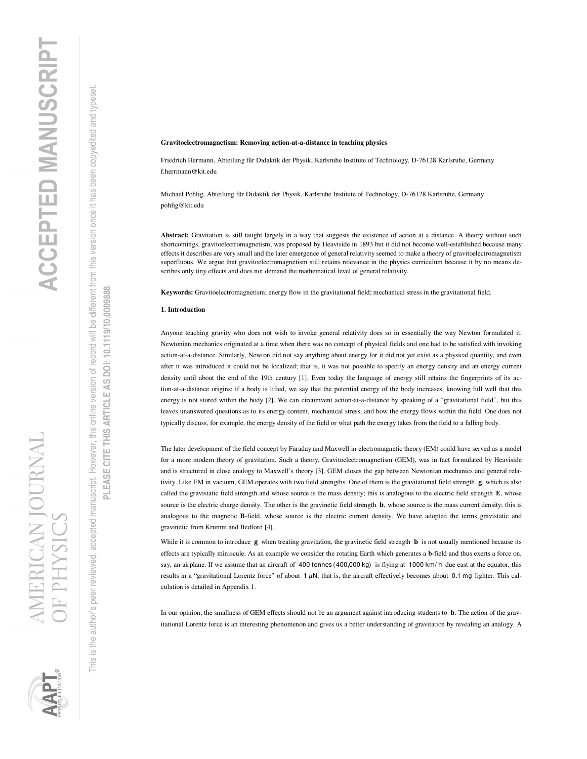## **Gravitoelectromagnetism: Removing action-at-a-distance in teaching physics**

Friedrich Hermann, Abteilung für Didaktik der Physik, Karlsruhe Institute of Technology, D-76128 Karlsruhe, Germany f.herrmann@kit.edu

Michael Pohlig, Abteilung für Didaktik der Physik, Karlsruhe Institute of Technology, D-76128 Karlsruhe, Germany pohlig@kit.edu

**Abstract:** Gravitation is still taught largely in a way that suggests the existence of action at a distance. A theory without such shortcomings, gravitoelectromagnetism, was proposed by Heaviside in 1893 but it did not become well-established because many effects it describes are very small and the later emergence of general relativity seemed to make a theory of gravitoelectromagnetism superfluous. We argue that gravitoelectromagnetism still retains relevance in the physics curriculum because it by no means describes only tiny effects and does not demand the mathematical level of general relativity.

**Keywords:** Gravitoelectromagnetism; energy flow in the gravitational field; mechanical stress in the gravitational field.

# **1. Introduction**

Anyone teaching gravity who does not wish to invoke general relativity does so in essentially the way Newton formulated it. Newtonian mechanics originated at a time when there was no concept of physical fields and one had to be satisfied with invoking action-at-a-distance. Similarly, Newton did not say anything about energy for it did not yet exist as a physical quantity, and even after it was introduced it could not be localized; that is, it was not possible to specify an energy density and an energy current density until about the end of the 19th century [1]. Even today the language of energy still retains the fingerprints of its action-at-a-distance origins: if a body is lifted, we say that the potential energy of the body increases, knowing full well that this energy is not stored within the body [2]. We can circumvent action-at-a-distance by speaking of a "gravitational field", but this leaves unanswered questions as to its energy content, mechanical stress, and how the energy flows within the field. One does not typically discuss, for example, the energy density of the field or what path the energy takes from the field to a falling body.

The later development of the field concept by Faraday and Maxwell in electromagnetic theory (EM) could have served as a model for a more modern theory of gravitation. Such a theory, Gravitoelectromagnetism (GEM), was in fact formulated by Heaviside and is structured in close analogy to Maxwell's theory [3]. GEM closes the gap between Newtonian mechanics and general relativity. Like EM in vacuum, GEM operates with two field strengths. One of them is the gravitational field strength  $g$ , which is also called the gravistatic field strength and whose source is the mass density; this is analogous to the electric field strength E, whose source is the electric charge density. The other is the gravinetic field strength **b**, whose source is the mass current density; this is analogous to the magnetic **B**-field, whose source is the electric current density. We have adopted the terms gravistatic and gravinetic from Krumm and Bedford [4].

While it is common to introduce  $\bf{g}$  when treating gravitation, the gravinetic field strength  $\bf{b}$  is not usually mentioned because its effects are typically miniscule. As an example we consider the rotating Earth which generates a **b**-field and thus exerts a force on, say, an airplane. If we assume that an aircraft of 400 tonnes (400,000 kg) is flying at 1000 km/h due east at the equator, this results in a "gravitational Lorentz force" of about 1  $\mu$ N; that is, the aircraft effectively becomes about 0.1 mg lighter. This calculation is detailed in Appendix 1.

In our opinion, the smallness of GEM effects should not be an argument against introducing students to **b**. The action of the gravitational Lorentz force is an interesting phenomenon and gives us a better understanding of gravitation by revealing an analogy. A

This is the author's peer reviewed, accepted manuscript. However, the online version of record will be different from this version once it has been copyedited and typeset.

the author's peer reviewed, accepted manuscript. However, the online version of record will be different from this version once it has been copyedited and typeset

**PLEASE CITE THIS ARTICLE AS DOI: 10.1119/10.0009888**

PLEASE CITE THIS ARTICLE AS DOI: 10.1119/10.0009888



 $\frac{1}{2}$ This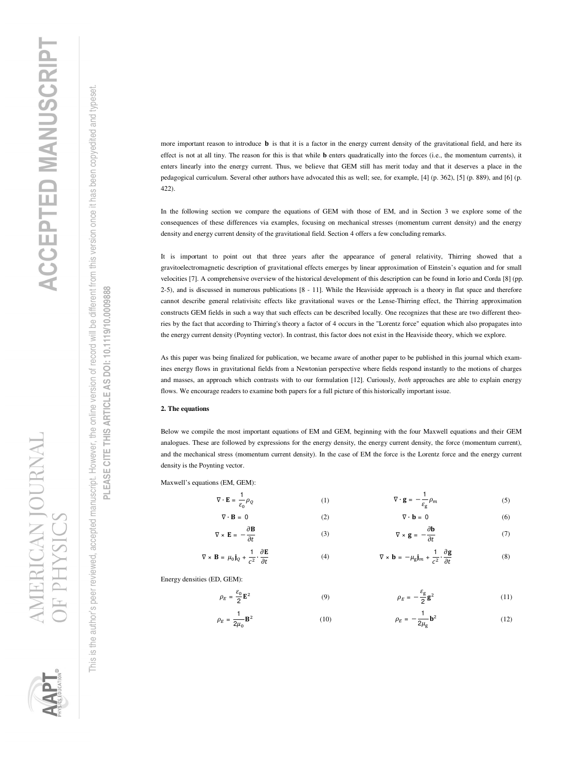**CAN JOURNAL** JE PHYSIC



is the author's peer reviewed, accepted manuscript. However, the online version of record will be different from this version once it has been copyedited and typeset This is the author's peer reviewed, accepted manuscript. However, the online version of record will be different from this version once it has been copyedited and typeset. This

PLEASE CITE THIS ARTICLE AS DOI: 10.1119/10.0009888 **PLEASE CITE THIS ARTICLE AS DOI: 10.1119/10.0009888**

more important reason to introduce  $\bf{b}$  is that it is a factor in the energy current density of the gravitational field, and here its effect is not at all tiny. The reason for this is that while **b** enters quadratically into the forces (i.e., the momentum currents), it enters linearly into the energy current. Thus, we believe that GEM still has merit today and that it deserves a place in the pedagogical curriculum. Several other authors have advocated this as well; see, for example, [4] (p. 362), [5] (p. 889), and [6] (p. 422).

In the following section we compare the equations of GEM with those of EM, and in Section 3 we explore some of the consequences of these differences via examples, focusing on mechanical stresses (momentum current density) and the energy density and energy current density of the gravitational field. Section 4 offers a few concluding remarks.

It is important to point out that three years after the appearance of general relativity, Thirring showed that a gravitoelectromagnetic description of gravitational effects emerges by linear approximation of Einstein's equation and for small velocities [7]. A comprehensive overview of the historical development of this description can be found in Iorio and Corda [8] (pp. 2-5), and is discussed in numerous publications [8 - 11]. While the Heaviside approach is a theory in flat space and therefore cannot describe general relativisitc effects like gravitational waves or the Lense-Thirring effect, the Thirring approximation constructs GEM fields in such a way that such effects can be described locally. One recognizes that these are two different theories by the fact that according to Thirring's theory a factor of 4 occurs in the "Lorentz force" equation which also propagates into the energy current density (Poynting vector). In contrast, this factor does not exist in the Heaviside theory, which we explore.

As this paper was being finalized for publication, we became aware of another paper to be published in this journal which examines energy flows in gravitational fields from a Newtonian perspective where fields respond instantly to the motions of charges and masses, an approach which contrasts with to our formulation [12]. Curiously, *both* approaches are able to explain energy flows. We encourage readers to examine both papers for a full picture of this historically important issue.

# **2. The equations**

Below we compile the most important equations of EM and GEM, beginning with the four Maxwell equations and their GEM analogues. These are followed by expressions for the energy density, the energy current density, the force (momentum current), and the mechanical stress (momentum current density). In the case of EM the force is the Lorentz force and the energy current density is the Poynting vector.

Maxwell's equations (EM, GEM):

 $\nabla \cdot \mathbf{E} =$ 

$$
\frac{1}{\varepsilon_0} \rho_Q \qquad (1) \qquad \qquad \nabla \cdot \mathbf{g} = -\frac{1}{\varepsilon_g} \rho_m \qquad (5)
$$

$$
\nabla \cdot \mathbf{B} = 0 \tag{6}
$$

$$
\nabla \times \mathbf{E} = -\frac{\partial \mathbf{B}}{\partial t} \tag{7}
$$

$$
\nabla \times \mathbf{B} = \mu_0 \mathbf{j}_Q + \frac{1}{c^2} \cdot \frac{\partial \mathbf{E}}{\partial t}
$$
 (4) 
$$
\nabla \times \mathbf{b} = -\mu_g \mathbf{j}_m + \frac{1}{c^2} \cdot \frac{\partial \mathbf{g}}{\partial t}
$$
 (8)

Energy densities (ED, GEM):

$$
\rho_E = \frac{\varepsilon_0}{2} \mathbf{E}^2 \tag{11}
$$

$$
\rho_E = \frac{1}{2\mu_0} \mathbf{B}^2 \tag{12}
$$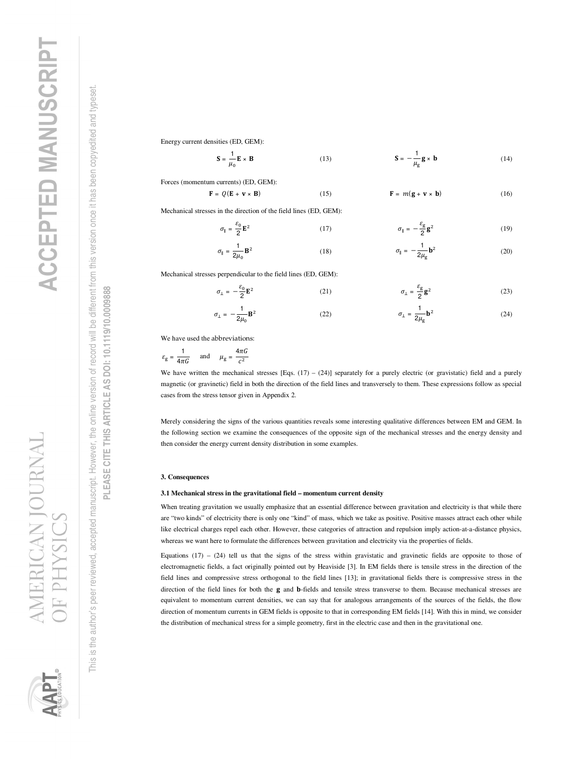is the author's peer reviewed, accepted manuscript. However, the online version of record will be different from this version once it has been copyedited and typeset This is the author's peer reviewed, accepted manuscript. However, the online version of record will be different from this version once it has been copyedited and typeset. This

PLEASE CITE THIS ARTICLE AS DOI: 10.1119/10.0009888 **PLEASE CITE THIS ARTICLE AS DOI: 10.1119/10.0009888**

**CAN JOURNAL** 

Energy current densities (ED, GEM):

$$
\mathbf{S} = \frac{1}{\mu_0} \mathbf{E} \times \mathbf{B}
$$
 (13) 
$$
\mathbf{S} = -\frac{1}{\mu_g} \mathbf{g} \times \mathbf{b}
$$
 (14)

Forces (momentum currents) (ED, GEM):

$$
\mathbf{F} = Q(\mathbf{E} + \mathbf{v} \times \mathbf{B}) \tag{16}
$$
\n
$$
\mathbf{F} = m(\mathbf{g} + \mathbf{v} \times \mathbf{b}) \tag{16}
$$

Mechanical stresses in the direction of the field lines (ED, GEM):

$$
\sigma_{\parallel} = \frac{\varepsilon_0}{2} \mathbf{E}^2 \tag{19}
$$

$$
\sigma_{\parallel} = \frac{1}{2\mu_0} \mathbf{B}^2
$$
 (18) 
$$
\sigma_{\parallel} = -\frac{1}{2\mu_g} \mathbf{b}^2
$$
 (20)

Mechanical stresses perpendicular to the field lines (ED, GEM):

$$
\sigma_{\perp} = -\frac{\varepsilon_0}{2} \mathbf{E}^2 \tag{21}
$$

$$
\sigma_{\perp} = -\frac{1}{2\mu_0} \mathbf{B}^2
$$
 (22) 
$$
\sigma_{\perp} = \frac{1}{2\mu_g} \mathbf{b}^2
$$
 (24)

We have used the abbreviations:

$$
\varepsilon_{\text{g}} = \frac{1}{4\pi G} \quad \text{and} \quad \mu_{\text{g}} = \frac{4\pi G}{c^2}
$$

We have written the mechanical stresses [Eqs.  $(17) - (24)$ ] separately for a purely electric (or gravistatic) field and a purely magnetic (or gravinetic) field in both the direction of the field lines and transversely to them. These expressions follow as special cases from the stress tensor given in Appendix 2.

Merely considering the signs of the various quantities reveals some interesting qualitative differences between EM and GEM. In the following section we examine the consequences of the opposite sign of the mechanical stresses and the energy density and then consider the energy current density distribution in some examples.

### **3. Consequences**

### **3.1 Mechanical stress in the gravitational field – momentum current density**

When treating gravitation we usually emphasize that an essential difference between gravitation and electricity is that while there are "two kinds" of electricity there is only one "kind" of mass, which we take as positive. Positive masses attract each other while like electrical charges repel each other. However, these categories of attraction and repulsion imply action-at-a-distance physics, whereas we want here to formulate the differences between gravitation and electricity via the properties of fields.

Equations  $(17)$  –  $(24)$  tell us that the signs of the stress within gravistatic and gravinetic fields are opposite to those of electromagnetic fields, a fact originally pointed out by Heaviside [3]. In EM fields there is tensile stress in the direction of the field lines and compressive stress orthogonal to the field lines [13]; in gravitational fields there is compressive stress in the direction of the field lines for both the g and **b**-fields and tensile stress transverse to them. Because mechanical stresses are equivalent to momentum current densities, we can say that for analogous arrangements of the sources of the fields, the flow direction of momentum currents in GEM fields is opposite to that in corresponding EM fields [14]. With this in mind, we consider the distribution of mechanical stress for a simple geometry, first in the electric case and then in the gravitational one.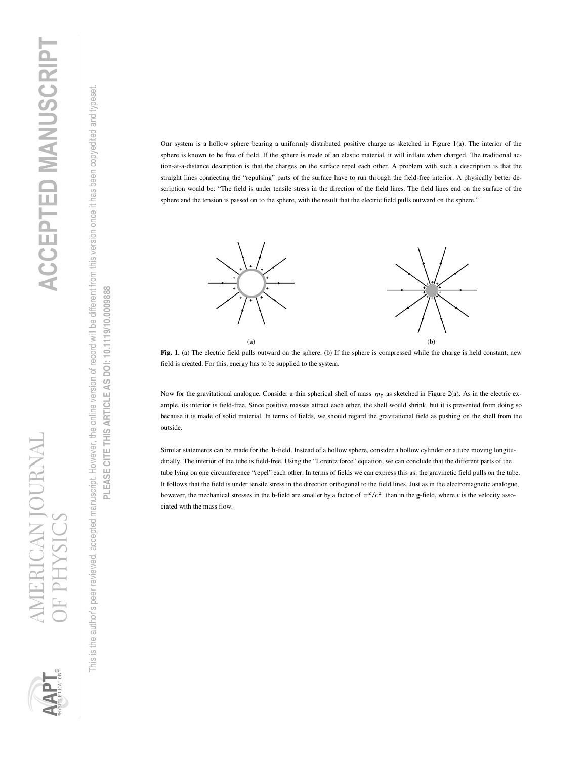N IOURNAI

is the author's peer reviewed, accepted manuscript. However, the online version of record will be different from this version once it has been copyedited and typeset This is the author's peer reviewed, accepted manuscript. However, the online version of record will be different from this version once it has been copyedited and typeset. This

PLEASE CITE THIS ARTICLE AS DOI: 10.1119/10.0009888 **PLEASE CITE THIS ARTICLE AS DOI: 10.1119/10.0009888**

Our system is a hollow sphere bearing a uniformly distributed positive charge as sketched in Figure 1(a). The interior of the sphere is known to be free of field. If the sphere is made of an elastic material, it will inflate when charged. The traditional action-at-a-distance description is that the charges on the surface repel each other. A problem with such a description is that the straight lines connecting the "repulsing" parts of the surface have to run through the field-free interior. A physically better description would be: "The field is under tensile stress in the direction of the field lines. The field lines end on the surface of the sphere and the tension is passed on to the sphere, with the result that the electric field pulls outward on the sphere."



**Fig. 1.** (a) The electric field pulls outward on the sphere. (b) If the sphere is compressed while the charge is held constant, new field is created. For this, energy has to be supplied to the system.

Now for the gravitational analogue. Consider a thin spherical shell of mass  $m_0$  as sketched in Figure 2(a). As in the electric example, its interior is field-free. Since positive masses attract each other, the shell would shrink, but it is prevented from doing so because it is made of solid material. In terms of fields, we should regard the gravitational field as pushing on the shell from the outside.

Similar statements can be made for the **b**-field. Instead of a hollow sphere, consider a hollow cylinder or a tube moving longitudinally. The interior of the tube is field-free. Using the "Lorentz force" equation, we can conclude that the different parts of the tube lying on one circumference "repel" each other. In terms of fields we can express this as: the gravinetic field pulls on the tube. It follows that the field is under tensile stress in the direction orthogonal to the field lines. Just as in the electromagnetic analogue, however, the mechanical stresses in the **b**-field are smaller by a factor of  $v^2/c^2$  than in the **g**-field, where *v* is the velocity associated with the mass flow.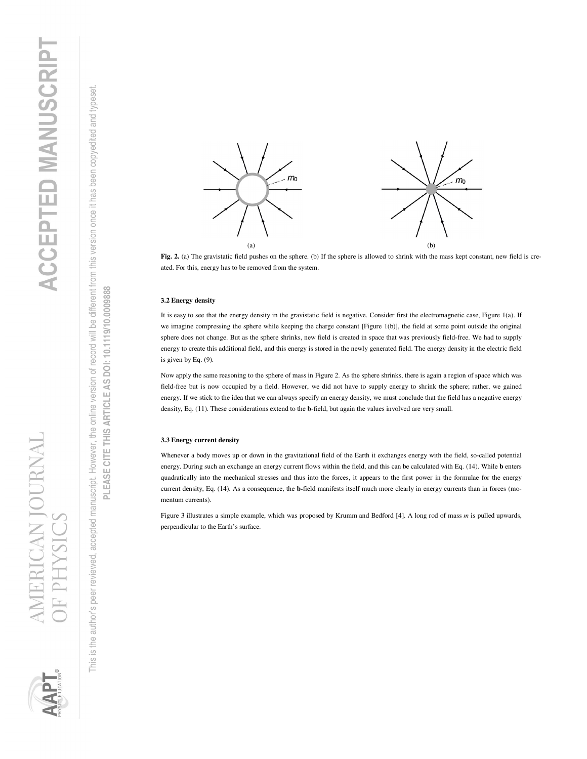



### **3.2 Energy density**

It is easy to see that the energy density in the gravistatic field is negative. Consider first the electromagnetic case, Figure 1(a). If we imagine compressing the sphere while keeping the charge constant [Figure 1(b)], the field at some point outside the original sphere does not change. But as the sphere shrinks, new field is created in space that was previously field-free. We had to supply energy to create this additional field, and this energy is stored in the newly generated field. The energy density in the electric field is given by Eq. (9).

Now apply the same reasoning to the sphere of mass in Figure 2. As the sphere shrinks, there is again a region of space which was field-free but is now occupied by a field. However, we did not have to supply energy to shrink the sphere; rather, we gained energy. If we stick to the idea that we can always specify an energy density, we must conclude that the field has a negative energy density, Eq. (11). These considerations extend to the **b**-field, but again the values involved are very small.

### **3.3 Energy current density**

Whenever a body moves up or down in the gravitational field of the Earth it exchanges energy with the field, so-called potential energy. During such an exchange an energy current flows within the field, and this can be calculated with Eq. (14). While **b** enters quadratically into the mechanical stresses and thus into the forces, it appears to the first power in the formulae for the energy current density, Eq. (14). As a consequence, the **b-**field manifests itself much more clearly in energy currents than in forces (momentum currents).

Figure 3 illustrates a simple example, which was proposed by Krumm and Bedford [4]. A long rod of mass *m* is pulled upwards, perpendicular to the Earth's surface.

This is the author's peer reviewed, accepted manuscript. However, the online version of record will be different from this version once it has been copyedited and typeset.

is the author's peer reviewed, accepted manuscript. However, the online version of record will be different from this version once it has been copyedited and typeset

**PLEASE CITE THIS ARTICLE AS DOI: 10.1119/10.0009888**

PLEASE CITE THIS ARTICLE AS DOI: 10.1119/10.0009888



This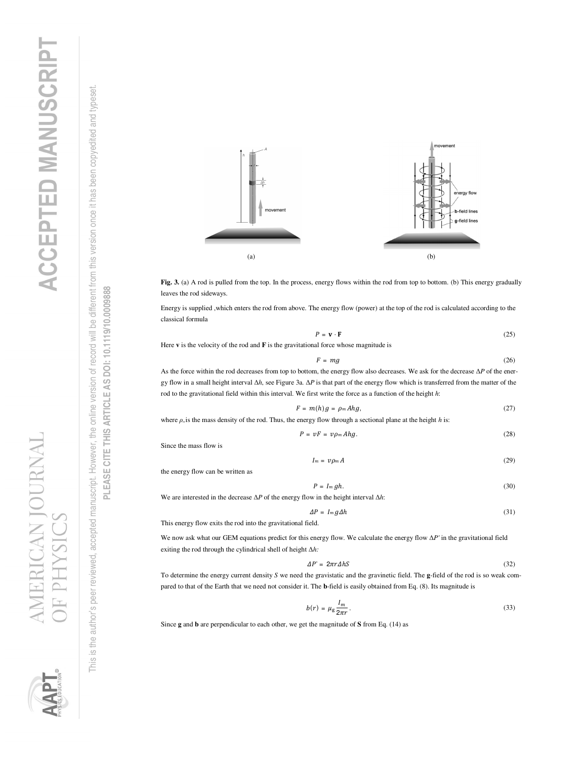

**Fig. 3.** (a) A rod is pulled from the top. In the process, energy flows within the rod from top to bottom. (b) This energy gradually leaves the rod sideways.

Energy is supplied ,which enters the rod from above. The energy flow (power) at the top of the rod is calculated according to the classical formula

$$
P = \mathbf{v} \cdot \mathbf{F} \tag{25}
$$

Here **v** is the velocity of the rod and **F** is the gravitational force whose magnitude is

$$
F = mg \tag{26}
$$

As the force within the rod decreases from top to bottom, the energy flow also decreases. We ask for the decrease Δ*P* of the energy flow in a small height interval Δ*h*, see Figure 3a. Δ*P* is that part of the energy flow which is transferred from the matter of the rod to the gravitational field within this interval. We first write the force as a function of the height *h*:

$$
F = m(h)g = \rho_m A h g, \qquad (27)
$$

where  $\rho_m$  is the mass density of the rod. Thus, the energy flow through a sectional plane at the height *h* is:

 $P = vF = v\rho_m Ahg.$  (28)

Since the mass flow is

$$
I_m = \nu \rho_m A \tag{29}
$$

the energy flow can be written as

$$
P = Im\,gh.\tag{30}
$$

We are interested in the decrease Δ*P* of the energy flow in the height interval Δ*h*:

$$
\Delta P = I_m g \Delta h \tag{31}
$$

This energy flow exits the rod into the gravitational field.

We now ask what our GEM equations predict for this energy flow. We calculate the energy flow Δ*P'* in the gravitational field exiting the rod through the cylindrical shell of height Δ*h:* 

$$
\Delta P' = 2\pi r \Delta h S \tag{32}
$$

To determine the energy current density *S* we need the gravistatic and the gravinetic field. The **g**-field of the rod is so weak compared to that of the Earth that we need not consider it. The **b**-field is easily obtained from Eq. (8). Its magnitude is

$$
b(r) = \mu_{\rm g} \frac{I_m}{2\pi r} \,. \tag{33}
$$

Since **g** and **b** are perpendicular to each other, we get the magnitude of **S** from Eq. (14) as

This is the author's peer reviewed, accepted manuscript. However, the online version of record will be different from this version once it has been copyedited and typeset.

is the author's peer reviewed, accepted manuscript. However, the online version of record will be different from this version once it has been copyedited and typeset

**PLEASE CITE THIS ARTICLE AS DOI: 10.1119/10.0009888**

PLEASE CITE THIS ARTICLE AS DOI: 10.1119/10.0009888



This

N IOURNAI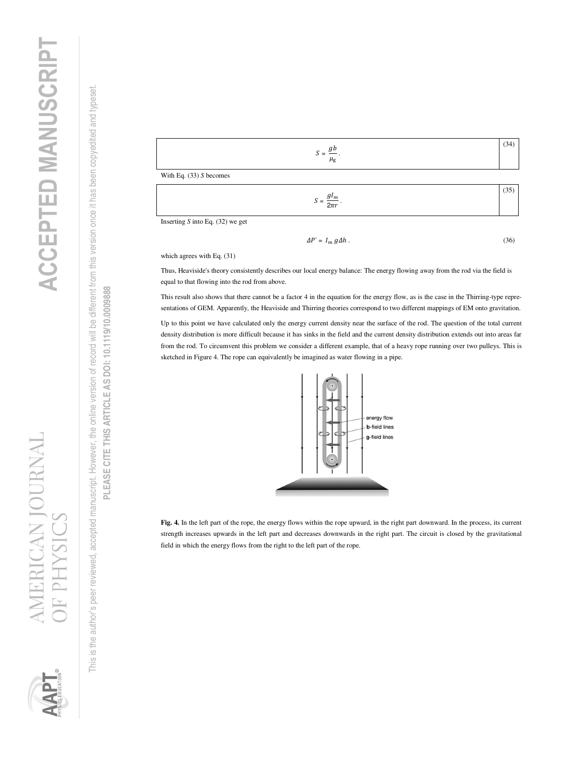is the author's peer reviewed, accepted manuscript. However, the online version of record will be different from this version once it has been copyedited and typeset. This is the author's peer reviewed, accepted manuscript. However, the online version of record will be different from this version once it has been copyedited and typeset. This i





 $2\pi r$ .

Inserting *S* into Eq. (32) we get

$$
\Delta P' = I_m g \Delta h \,. \tag{36}
$$

which agrees with Eq. (31)

Thus, Heaviside's theory consistently describes our local energy balance: The energy flowing away from the rod via the field is equal to that flowing into the rod from above.

This result also shows that there cannot be a factor 4 in the equation for the energy flow, as is the case in the Thirring-type representations of GEM. Apparently, the Heaviside and Thirring theories correspond to two different mappings of EM onto gravitation.

Up to this point we have calculated only the energy current density near the surface of the rod. The question of the total current density distribution is more difficult because it has sinks in the field and the current density distribution extends out into areas far from the rod. To circumvent this problem we consider a different example, that of a heavy rope running over two pulleys. This is sketched in Figure 4. The rope can equivalently be imagined as water flowing in a pipe.



**Fig. 4.** In the left part of the rope, the energy flows within the rope upward, in the right part downward. In the process, its current strength increases upwards in the left part and decreases downwards in the right part. The circuit is closed by the gravitational field in which the energy flows from the right to the left part of the rope.



**ANTOURNAL**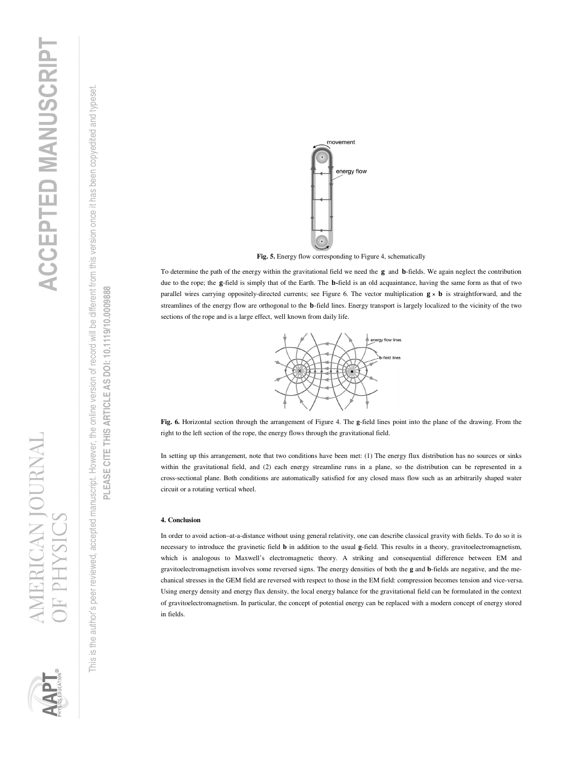This is the author's peer reviewed, accepted manuscript. However, the online version of record will be different from this version once it has been copyedited and typeset. is the author's peer reviewed, accepted manuscript. However, the online version of record will be different from this version once it has been copyedited and typeset This



**Fig. 5.** Energy flow corresponding to Figure 4, schematically To determine the path of the energy within the gravitational field we need the  $g$  and  $b$ -fields. We again neglect the contribution due to the rope; the g-field is simply that of the Earth. The **b**-field is an old acquaintance, having the same form as that of two parallel wires carrying oppositely-directed currents; see Figure 6. The vector multiplication  $g \times b$  is straightforward, and the streamlines of the energy flow are orthogonal to the **b**-field lines. Energy transport is largely localized to the vicinity of the two

movement

energy flow

**Fig. 6.** Horizontal section through the arrangement of Figure 4. The **g**-field lines point into the plane of the drawing. From the

energy flow lines .<br>ield lines

In setting up this arrangement, note that two conditions have been met: (1) The energy flux distribution has no sources or sinks within the gravitational field, and (2) each energy streamline runs in a plane, so the distribution can be represented in a cross-sectional plane. Both conditions are automatically satisfied for any closed mass flow such as an arbitrarily shaped water

In order to avoid action–at-a-distance without using general relativity, one can describe classical gravity with fields. To do so it is necessary to introduce the gravinetic field **b** in addition to the usual **g**-field. This results in a theory, gravitoelectromagnetism, which is analogous to Maxwell's electromagnetic theory. A striking and consequential difference between EM and gravitoelectromagnetism involves some reversed signs. The energy densities of both the **g** and **b**-fields are negative, and the mechanical stresses in the GEM field are reversed with respect to those in the EM field: compression becomes tension and vice-versa. Using energy density and energy flux density, the local energy balance for the gravitational field can be formulated in the context of gravitoelectromagnetism. In particular, the concept of potential energy can be replaced with a modern concept of energy stored

sections of the rope and is a large effect, well known from daily life.

right to the left section of the rope, the energy flows through the gravitational field.

circuit or a rotating vertical wheel.

**4. Conclusion** 

in fields.







**TAN JOURNAL**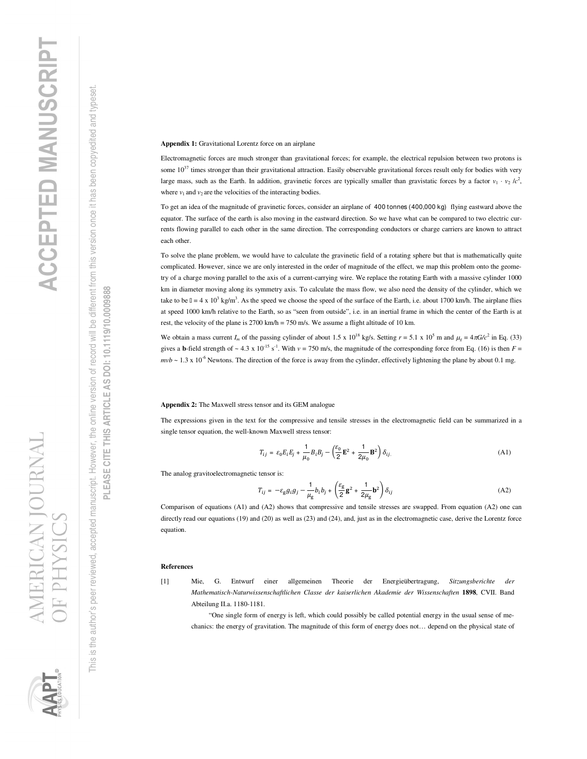

# PLEASE CITE THIS ARTICLE AS DOI: 10.1119/10.0009888 **PLEASE CITE THIS ARTICLE AS DOI: 10.1119/10.0009888**

**Appendix 1:** Gravitational Lorentz force on an airplane

Electromagnetic forces are much stronger than gravitational forces; for example, the electrical repulsion between two protons is some  $10^{37}$  times stronger than their gravitational attraction. Easily observable gravitational forces result only for bodies with very large mass, such as the Earth. In addition, gravinetic forces are typically smaller than gravistatic forces by a factor  $v_1 \cdot v_2/c^2$ , where  $v_1$  and  $v_2$  are the velocities of the interacting bodies.

To get an idea of the magnitude of gravinetic forces, consider an airplane of 400 tonnes (400,000 kg) flying eastward above the equator. The surface of the earth is also moving in the eastward direction. So we have what can be compared to two electric currents flowing parallel to each other in the same direction. The corresponding conductors or charge carriers are known to attract each other.

To solve the plane problem, we would have to calculate the gravinetic field of a rotating sphere but that is mathematically quite complicated. However, since we are only interested in the order of magnitude of the effect, we map this problem onto the geometry of a charge moving parallel to the axis of a current-carrying wire. We replace the rotating Earth with a massive cylinder 1000 km in diameter moving along its symmetry axis. To calculate the mass flow, we also need the density of the cylinder, which we take to be  $\ln 4 \times 10^3$  kg/m<sup>3</sup>. As the speed we choose the speed of the surface of the Earth, i.e. about 1700 km/h. The airplane flies at speed 1000 km/h relative to the Earth, so as "seen from outside", i.e. in an inertial frame in which the center of the Earth is at rest, the velocity of the plane is 2700 km/h = 750 m/s. We assume a flight altitude of 10 km.

We obtain a mass current  $I_m$  of the passing cylinder of about 1.5 x 10<sup>18</sup> kg/s. Setting  $r = 5.1 \times 10^5$  m and  $\mu_g = 4\pi G/c^2$  in Eq. (33) gives a **b**-field strength of  $\sim 4.3 \times 10^{-15}$  s<sup>-1</sup>. With  $v = 750$  m/s, the magnitude of the corresponding force from Eq. (16) is then  $F =$  $mvb \sim 1.3 \times 10^{-6}$  Newtons. The direction of the force is away from the cylinder, effectively lightening the plane by about 0.1 mg.

# **Appendix 2:** The Maxwell stress tensor and its GEM analogue

The expressions given in the text for the compressive and tensile stresses in the electromagnetic field can be summarized in a single tensor equation, the well-known Maxwell stress tensor:

$$
T_{ij} = \varepsilon_0 E_i E_j + \frac{1}{\mu_0} B_i B_j - \left(\frac{\varepsilon_0}{2} \mathbf{E}^2 + \frac{1}{2\mu_0} \mathbf{B}^2\right) \delta_{ij.}
$$
 (A1)

The analog gravitoelectromagnetic tensor is:

$$
T_{ij} = -\varepsilon_{\rm g} g_i g_j - \frac{1}{\mu_{\rm g}} b_i b_j + \left(\frac{\varepsilon_{\rm g}}{2} \mathbf{g}^2 + \frac{1}{2\mu_{\rm g}} \mathbf{b}^2\right) \delta_{ij} \tag{A2}
$$

Comparison of equations (A1) and (A2) shows that compressive and tensile stresses are swapped. From equation (A2) one can directly read our equations (19) and (20) as well as (23) and (24), and, just as in the electromagnetic case, derive the Lorentz force equation.

## **References**

[1] Mie, G. Entwurf einer allgemeinen Theorie der Energieübertragung, *Sitzungsberichte der Mathematisch-Naturwissenschaftlichen Classe der kaiserlichen Akademie der Wissenschaften* **1898**, CVII. Band Abteilung II.a. 1180-1181.

 "One single form of energy is left, which could possibly be called potential energy in the usual sense of mechanics: the energy of gravitation. The magnitude of this form of energy does not… depend on the physical state of